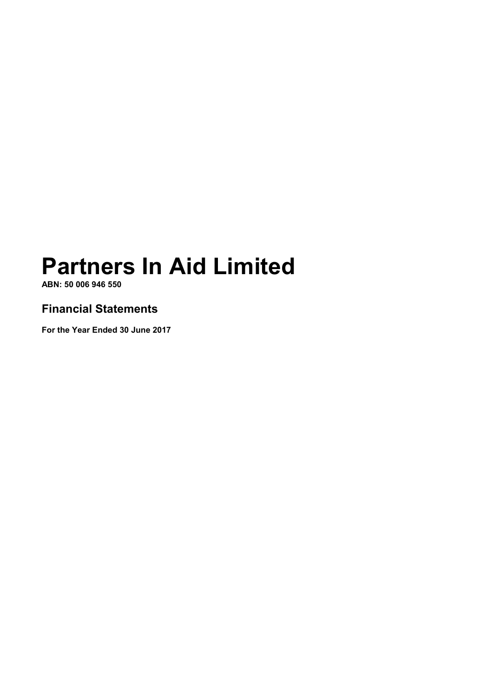ABN: 50 006 946 550

# Financial Statements

For the Year Ended 30 June 2017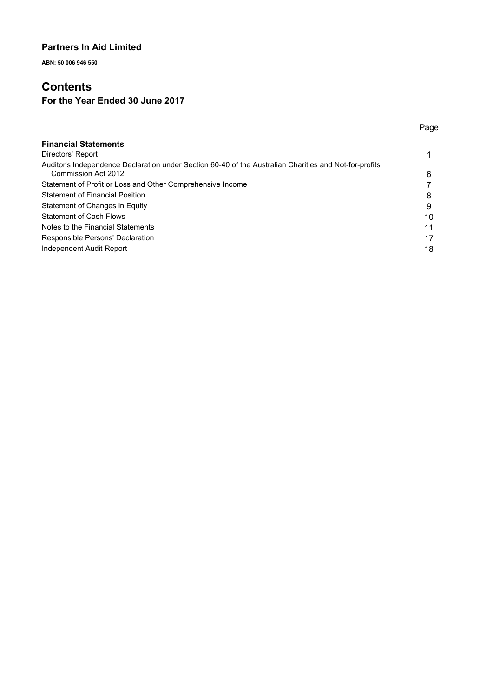ABN: 50 006 946 550

# **Contents**

# For the Year Ended 30 June 2017

|                                                                                                                               | Page |
|-------------------------------------------------------------------------------------------------------------------------------|------|
| <b>Financial Statements</b>                                                                                                   |      |
| Directors' Report                                                                                                             |      |
| Auditor's Independence Declaration under Section 60-40 of the Australian Charities and Not-for-profits<br>Commission Act 2012 | 6    |
| Statement of Profit or Loss and Other Comprehensive Income                                                                    |      |
| <b>Statement of Financial Position</b>                                                                                        | 8    |
| Statement of Changes in Equity                                                                                                | 9    |
| <b>Statement of Cash Flows</b>                                                                                                | 10   |
| Notes to the Financial Statements                                                                                             | 11   |
| Responsible Persons' Declaration                                                                                              | 17   |
| Independent Audit Report                                                                                                      | 18   |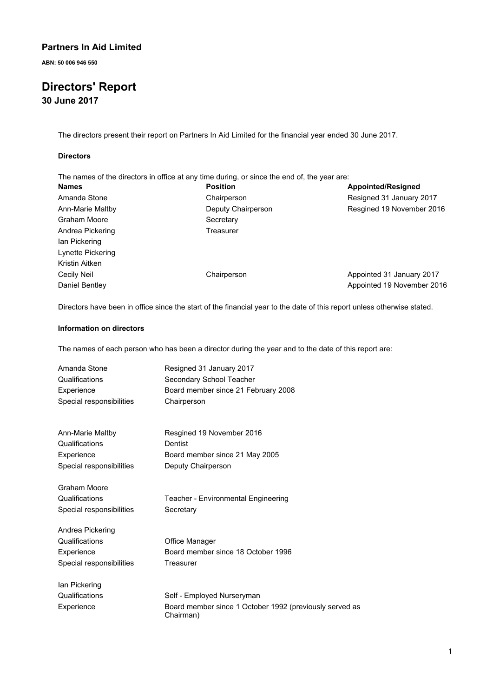ABN: 50 006 946 550

# Directors' Report 30 June 2017

The directors present their report on Partners In Aid Limited for the financial year ended 30 June 2017.

#### **Directors**

| The names of the directors in office at any time during, or since the end of, the year are: |                    |                            |
|---------------------------------------------------------------------------------------------|--------------------|----------------------------|
| <b>Names</b>                                                                                | <b>Position</b>    | Appointed/Resigned         |
| Amanda Stone                                                                                | Chairperson        | Resigned 31 January 2017   |
| Ann-Marie Maltby                                                                            | Deputy Chairperson | Resgined 19 November 2016  |
| Graham Moore                                                                                | Secretary          |                            |
| Andrea Pickering                                                                            | Treasurer          |                            |
| lan Pickering                                                                               |                    |                            |
| Lynette Pickering                                                                           |                    |                            |
| Kristin Aitken                                                                              |                    |                            |
| Cecily Neil                                                                                 | Chairperson        | Appointed 31 January 2017  |
| Daniel Bentley                                                                              |                    | Appointed 19 November 2016 |

Directors have been in office since the start of the financial year to the date of this report unless otherwise stated.

#### Information on directors

The names of each person who has been a director during the year and to the date of this report are:

| Amanda Stone             | Resigned 31 January 2017                                             |
|--------------------------|----------------------------------------------------------------------|
| Qualifications           | Secondary School Teacher                                             |
| Experience               | Board member since 21 February 2008                                  |
| Special responsibilities | Chairperson                                                          |
| Ann-Marie Maltby         | Resgined 19 November 2016                                            |
| Qualifications           | <b>Dentist</b>                                                       |
| Experience               | Board member since 21 May 2005                                       |
| Special responsibilities | Deputy Chairperson                                                   |
| <b>Graham Moore</b>      |                                                                      |
| Qualifications           | Teacher - Environmental Engineering                                  |
| Special responsibilities | Secretary                                                            |
| Andrea Pickering         |                                                                      |
| Qualifications           | Office Manager                                                       |
| Experience               | Board member since 18 October 1996                                   |
| Special responsibilities | Treasurer                                                            |
| Ian Pickering            |                                                                      |
| Qualifications           | Self - Employed Nurseryman                                           |
| Experience               | Board member since 1 October 1992 (previously served as<br>Chairman) |
|                          |                                                                      |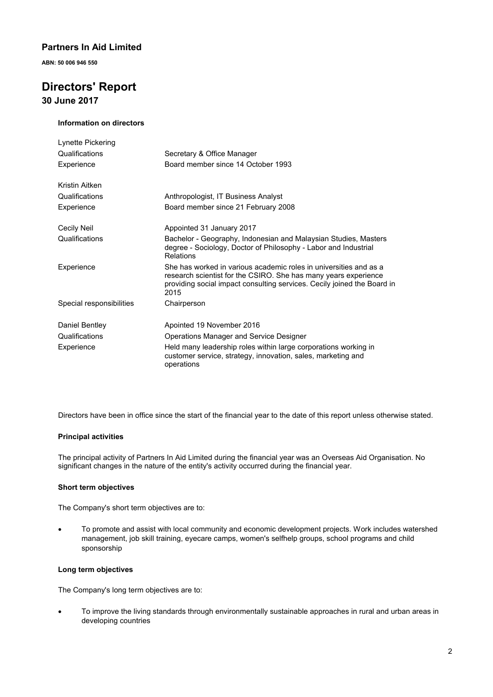ABN: 50 006 946 550

# Directors' Report

30 June 2017

#### Information on directors

| Lynette Pickering        |                                                                                                                                                                                                                         |
|--------------------------|-------------------------------------------------------------------------------------------------------------------------------------------------------------------------------------------------------------------------|
| Qualifications           | Secretary & Office Manager                                                                                                                                                                                              |
| Experience               | Board member since 14 October 1993                                                                                                                                                                                      |
| Kristin Aitken           |                                                                                                                                                                                                                         |
| Qualifications           | Anthropologist, IT Business Analyst                                                                                                                                                                                     |
| Experience               | Board member since 21 February 2008                                                                                                                                                                                     |
| Cecily Neil              | Appointed 31 January 2017                                                                                                                                                                                               |
| Qualifications           | Bachelor - Geography, Indonesian and Malaysian Studies, Masters<br>degree - Sociology, Doctor of Philosophy - Labor and Industrial<br>Relations                                                                         |
| Experience               | She has worked in various academic roles in universities and as a<br>research scientist for the CSIRO. She has many years experience<br>providing social impact consulting services. Cecily joined the Board in<br>2015 |
| Special responsibilities | Chairperson                                                                                                                                                                                                             |
| Daniel Bentley           | Apointed 19 November 2016                                                                                                                                                                                               |
| Qualifications           | Operations Manager and Service Designer                                                                                                                                                                                 |
| Experience               | Held many leadership roles within large corporations working in<br>customer service, strategy, innovation, sales, marketing and<br>operations                                                                           |

Directors have been in office since the start of the financial year to the date of this report unless otherwise stated.

#### Principal activities

The principal activity of Partners In Aid Limited during the financial year was an Overseas Aid Organisation. No significant changes in the nature of the entity's activity occurred during the financial year.

#### Short term objectives

The Company's short term objectives are to:

! To promote and assist with local community and economic development projects. Work includes watershed management, job skill training, eyecare camps, women's selfhelp groups, school programs and child sponsorship

#### Long term objectives

The Company's long term objectives are to:

! To improve the living standards through environmentally sustainable approaches in rural and urban areas in developing countries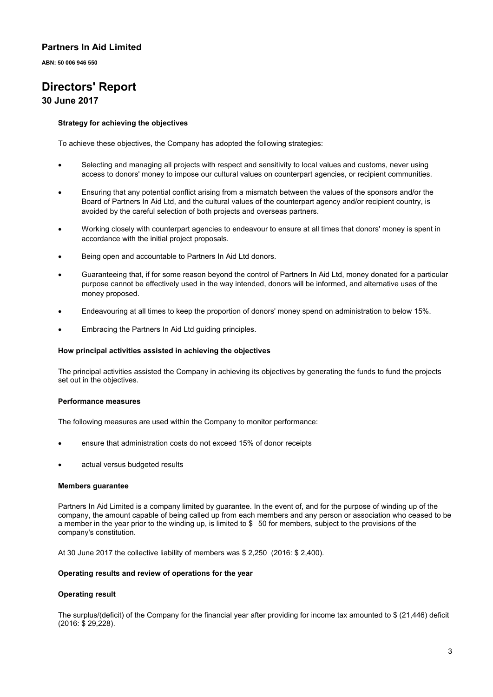ABN: 50 006 946 550

# Directors' Report

### 30 June 2017

#### Strategy for achieving the objectives

To achieve these objectives, the Company has adopted the following strategies:

- Selecting and managing all projects with respect and sensitivity to local values and customs, never using access to donors' money to impose our cultural values on counterpart agencies, or recipient communities.
- Ensuring that any potential conflict arising from a mismatch between the values of the sponsors and/or the Board of Partners In Aid Ltd, and the cultural values of the counterpart agency and/or recipient country, is avoided by the careful selection of both projects and overseas partners.
- ! Working closely with counterpart agencies to endeavour to ensure at all times that donors' money is spent in accordance with the initial project proposals.
- Being open and accountable to Partners In Aid Ltd donors.
- Guaranteeing that, if for some reason beyond the control of Partners In Aid Ltd, money donated for a particular purpose cannot be effectively used in the way intended, donors will be informed, and alternative uses of the money proposed.
- Endeavouring at all times to keep the proportion of donors' money spend on administration to below 15%.
- Embracing the Partners In Aid Ltd guiding principles.

#### How principal activities assisted in achieving the objectives

The principal activities assisted the Company in achieving its objectives by generating the funds to fund the projects set out in the objectives.

#### Performance measures

The following measures are used within the Company to monitor performance:

- ! ensure that administration costs do not exceed 15% of donor receipts
- actual versus budgeted results

#### Members guarantee

Partners In Aid Limited is a company limited by guarantee. In the event of, and for the purpose of winding up of the company, the amount capable of being called up from each members and any person or association who ceased to be a member in the year prior to the winding up, is limited to \$ 50 for members, subject to the provisions of the company's constitution.

At 30 June 2017 the collective liability of members was \$ 2,250 (2016: \$ 2,400).

#### Operating results and review of operations for the year

#### Operating result

The surplus/(deficit) of the Company for the financial year after providing for income tax amounted to \$ (21,446) deficit (2016: \$ 29,228).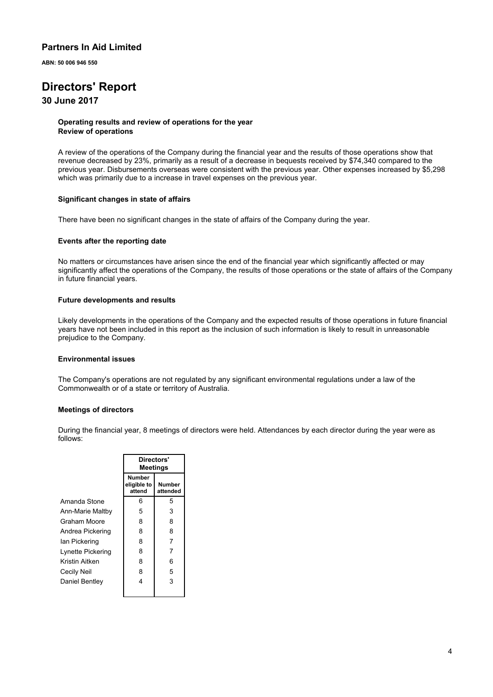ABN: 50 006 946 550

# Directors' Report

### 30 June 2017

#### Operating results and review of operations for the year Review of operations

A review of the operations of the Company during the financial year and the results of those operations show that revenue decreased by 23%, primarily as a result of a decrease in bequests received by \$74,340 compared to the previous year. Disbursements overseas were consistent with the previous year. Other expenses increased by \$5,298 which was primarily due to a increase in travel expenses on the previous year.

#### Significant changes in state of affairs

There have been no significant changes in the state of affairs of the Company during the year.

#### Events after the reporting date

No matters or circumstances have arisen since the end of the financial year which significantly affected or may significantly affect the operations of the Company, the results of those operations or the state of affairs of the Company in future financial years.

#### Future developments and results

Likely developments in the operations of the Company and the expected results of those operations in future financial years have not been included in this report as the inclusion of such information is likely to result in unreasonable prejudice to the Company.

#### Environmental issues

The Company's operations are not regulated by any significant environmental regulations under a law of the Commonwealth or of a state or territory of Australia.

#### Meetings of directors

During the financial year, 8 meetings of directors were held. Attendances by each director during the year were as follows:

|                   | Directors'<br>Meetings          |                    |  |
|-------------------|---------------------------------|--------------------|--|
|                   | Number<br>eligible to<br>attend | Number<br>attended |  |
| Amanda Stone      | 6                               | 5                  |  |
| Ann-Marie Maltby  | 5                               | 3                  |  |
| Graham Moore      | 8                               | 8                  |  |
| Andrea Pickering  | 8                               | 8                  |  |
| lan Pickering     | 8                               | 7                  |  |
| Lynette Pickering | 8                               | 7                  |  |
| Kristin Aitken    | 8                               | 6                  |  |
| Cecily Neil       | 8                               | 5                  |  |
| Daniel Bentley    | 4                               | 3                  |  |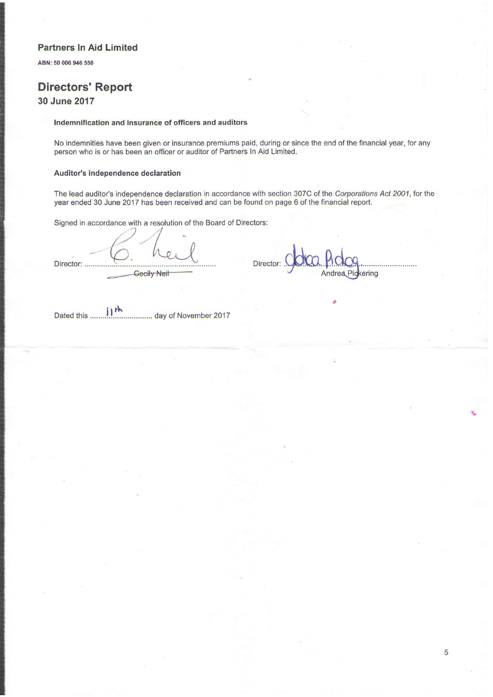ABN: 50 006 946 550

# Directors' Report 30 June 2017

#### Indemnification and insurance of officers and auditors

No indemnities have been given or insurance premiums paid, during or since the end of the financial year, for any person who is or has been an officer or auditor of Partners In Aid Limlted.

#### Auditor's independence declaration

The lead auditor's independence declaration in accordance with section 307C of the Corporations Act 2001, for the year ended 30 June 2017 has been received and can be found on page 6 of the financial report.

Signed in accordance with a resolution of the Board of Directors:

Director: Director: **Geeily Neit** 

Andrea Pickering

 $i$ <sup>th</sup> Dated this ........1.!................... day of November 2017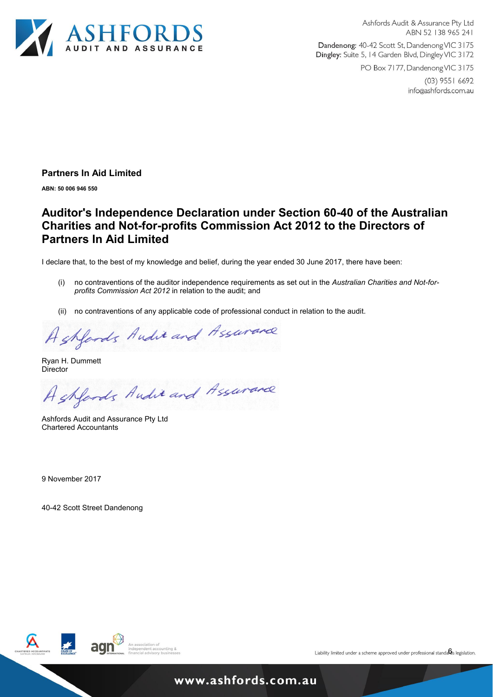

Ashfords Audit & Assurance Pty Ltd ABN 52 138 965 241

Dandenong: 40-42 Scott St, Dandenong VIC 3175 Dingley: Suite 5, 14 Garden Blvd, Dingley VIC 3172

PO Box 7177, Dandenong VIC 3175

 $(03)$  9551 6692 info@ashfords.com.au

### Partners In Aid Limited

ABN: 50 006 946 550

# Auditor's Independence Declaration under Section 60-40 of the Australian Charities and Not-for-profits Commission Act 2012 to the Directors of Partners In Aid Limited

I declare that, to the best of my knowledge and belief, during the year ended 30 June 2017, there have been:

- (i) no contraventions of the auditor independence requirements as set out in the Australian Charities and Not-forprofits Commission Act 2012 in relation to the audit; and
- (ii) no contraventions of any applicable code of professional conduct in relation to the audit.

Ashfords Andie and Assurance

Ryan H. Dummett **Director** 

Ashfords Andie and Assurance

Ashfords Audit and Assurance Pty Ltd Chartered Accountants

9 November 2017

40-42 Scott Street Dandenong

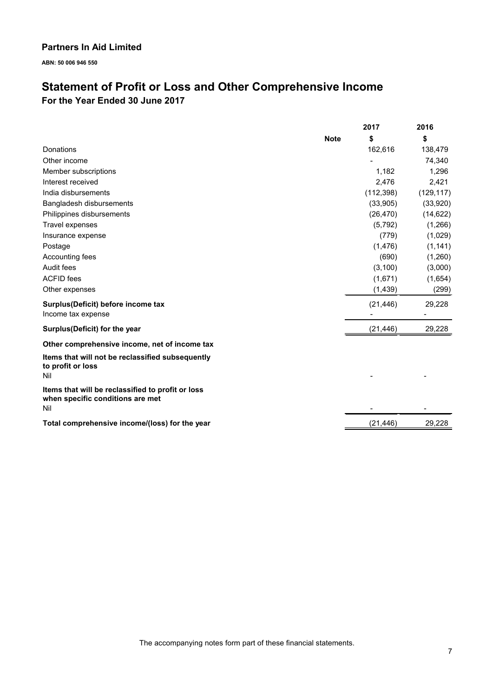ABN: 50 006 946 550

# Statement of Profit or Loss and Other Comprehensive Income For the Year Ended 30 June 2017

|                                                                                              |             | 2017       | 2016       |
|----------------------------------------------------------------------------------------------|-------------|------------|------------|
|                                                                                              | <b>Note</b> | \$         | \$         |
| Donations                                                                                    |             | 162,616    | 138,479    |
| Other income                                                                                 |             |            | 74,340     |
| Member subscriptions                                                                         |             | 1,182      | 1,296      |
| Interest received                                                                            |             | 2,476      | 2,421      |
| India disbursements                                                                          |             | (112, 398) | (129, 117) |
| Bangladesh disbursements                                                                     |             | (33,905)   | (33,920)   |
| Philippines disbursements                                                                    |             | (26, 470)  | (14, 622)  |
| Travel expenses                                                                              |             | (5,792)    | (1,266)    |
| Insurance expense                                                                            |             | (779)      | (1,029)    |
| Postage                                                                                      |             | (1, 476)   | (1, 141)   |
| Accounting fees                                                                              |             | (690)      | (1,260)    |
| Audit fees                                                                                   |             | (3, 100)   | (3,000)    |
| <b>ACFID</b> fees                                                                            |             | (1,671)    | (1,654)    |
| Other expenses                                                                               |             | (1, 439)   | (299)      |
| Surplus(Deficit) before income tax<br>Income tax expense                                     |             | (21, 446)  | 29,228     |
| Surplus(Deficit) for the year                                                                |             | (21, 446)  | 29,228     |
| Other comprehensive income, net of income tax                                                |             |            |            |
| Items that will not be reclassified subsequently<br>to profit or loss<br>Nil                 |             |            |            |
| Items that will be reclassified to profit or loss<br>when specific conditions are met<br>Nil |             |            |            |
| Total comprehensive income/(loss) for the year                                               |             | (21, 446)  | 29,228     |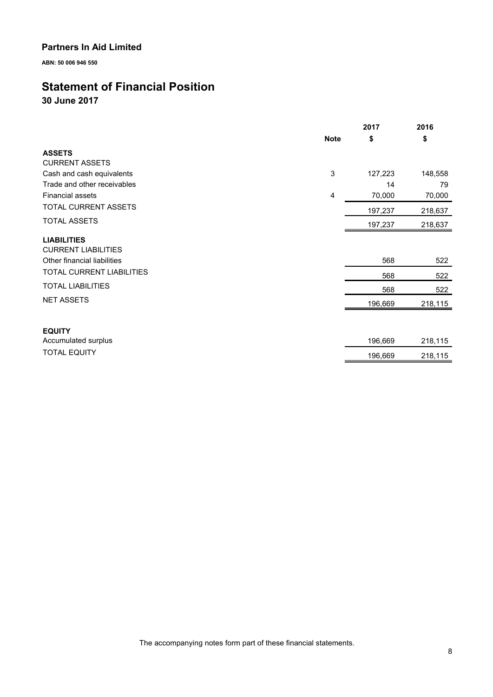ABN: 50 006 946 550

# Statement of Financial Position

30 June 2017

|                             | 2017        |         | 2016    |
|-----------------------------|-------------|---------|---------|
|                             | <b>Note</b> | \$      | \$      |
| <b>ASSETS</b>               |             |         |         |
| <b>CURRENT ASSETS</b>       |             |         |         |
| Cash and cash equivalents   | 3           | 127,223 | 148,558 |
| Trade and other receivables |             | 14      | 79      |
| <b>Financial assets</b>     | 4           | 70,000  | 70,000  |
| <b>TOTAL CURRENT ASSETS</b> |             | 197,237 | 218,637 |
| <b>TOTAL ASSETS</b>         |             | 197,237 | 218,637 |
| <b>LIABILITIES</b>          |             |         |         |
| <b>CURRENT LIABILITIES</b>  |             |         |         |
| Other financial liabilities |             | 568     | 522     |
| TOTAL CURRENT LIABILITIES   |             | 568     | 522     |
| <b>TOTAL LIABILITIES</b>    |             | 568     | 522     |
| <b>NET ASSETS</b>           |             | 196,669 | 218,115 |
|                             |             |         |         |
| <b>EQUITY</b>               |             |         |         |
| Accumulated surplus         |             | 196,669 | 218,115 |
| <b>TOTAL EQUITY</b>         |             | 196,669 | 218,115 |

The accompanying notes form part of these financial statements.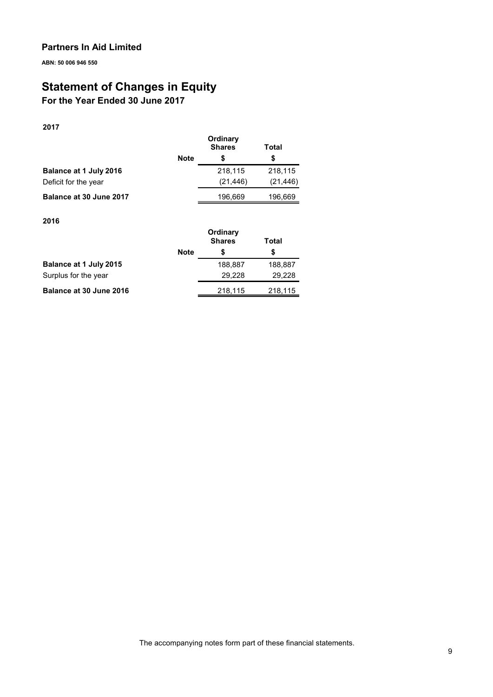ABN: 50 006 946 550

# Statement of Changes in Equity

# For the Year Ended 30 June 2017

### 2017

|                         | <b>Note</b> | Ordinary<br><b>Shares</b><br>S | Total<br>S |
|-------------------------|-------------|--------------------------------|------------|
| Balance at 1 July 2016  |             | 218,115                        | 218,115    |
| Deficit for the year    |             | (21, 446)                      | (21, 446)  |
| Balance at 30 June 2017 |             | 196,669                        | 196,669    |

#### 2016

|                         | Ordinary<br><b>Shares</b><br>Total |         |         |
|-------------------------|------------------------------------|---------|---------|
|                         | <b>Note</b>                        | S       | S       |
| Balance at 1 July 2015  |                                    | 188.887 | 188,887 |
| Surplus for the year    |                                    | 29.228  | 29.228  |
| Balance at 30 June 2016 |                                    | 218,115 | 218,115 |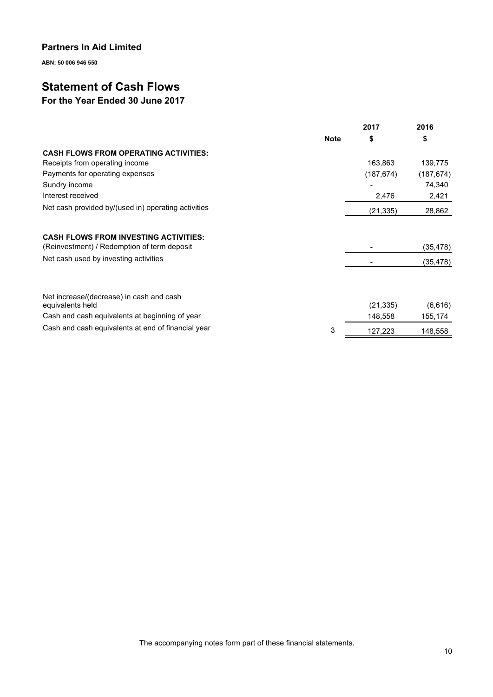ABN: 50 006 946 550

# Statement of Cash Flows

# For the Year Ended 30 June 2017

|                                                                                             |             | 2017       | 2016       |
|---------------------------------------------------------------------------------------------|-------------|------------|------------|
|                                                                                             | <b>Note</b> | \$         | \$         |
| <b>CASH FLOWS FROM OPERATING ACTIVITIES:</b>                                                |             |            |            |
| Receipts from operating income                                                              |             | 163,863    | 139,775    |
| Payments for operating expenses                                                             |             | (187, 674) | (187, 674) |
| Sundry income                                                                               |             |            | 74,340     |
| Interest received                                                                           |             | 2,476      | 2,421      |
| Net cash provided by/(used in) operating activities                                         |             | (21, 335)  | 28,862     |
| <b>CASH FLOWS FROM INVESTING ACTIVITIES:</b><br>(Reinvestment) / Redemption of term deposit |             |            | (35,478)   |
| Net cash used by investing activities                                                       |             |            | (35, 478)  |
| Net increase/(decrease) in cash and cash<br>equivalents held                                |             | (21, 335)  | (6,616)    |
| Cash and cash equivalents at beginning of year                                              |             | 148,558    | 155,174    |
| Cash and cash equivalents at end of financial year                                          | 3           | 127,223    | 148,558    |

The accompanying notes form part of these financial statements.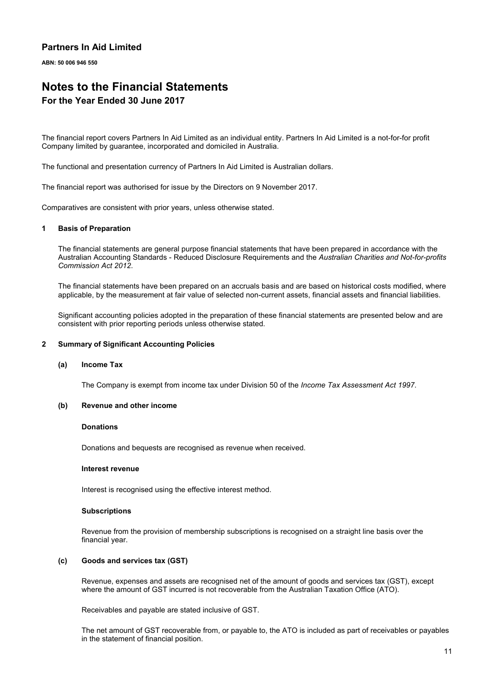ABN: 50 006 946 550

# Notes to the Financial Statements For the Year Ended 30 June 2017

The financial report covers Partners In Aid Limited as an individual entity. Partners In Aid Limited is a not-for-for profit Company limited by guarantee, incorporated and domiciled in Australia.

The functional and presentation currency of Partners In Aid Limited is Australian dollars.

The financial report was authorised for issue by the Directors on 9 November 2017.

Comparatives are consistent with prior years, unless otherwise stated.

#### 1 Basis of Preparation

The financial statements are general purpose financial statements that have been prepared in accordance with the Australian Accounting Standards - Reduced Disclosure Requirements and the Australian Charities and Not-for-profits Commission Act 2012.

The financial statements have been prepared on an accruals basis and are based on historical costs modified, where applicable, by the measurement at fair value of selected non-current assets, financial assets and financial liabilities.

Significant accounting policies adopted in the preparation of these financial statements are presented below and are consistent with prior reporting periods unless otherwise stated.

#### 2 Summary of Significant Accounting Policies

#### (a) Income Tax

The Company is exempt from income tax under Division 50 of the Income Tax Assessment Act 1997.

#### (b) Revenue and other income

#### **Donations**

Donations and bequests are recognised as revenue when received.

#### Interest revenue

Interest is recognised using the effective interest method.

#### **Subscriptions**

Revenue from the provision of membership subscriptions is recognised on a straight line basis over the financial year.

#### (c) Goods and services tax (GST)

Revenue, expenses and assets are recognised net of the amount of goods and services tax (GST), except where the amount of GST incurred is not recoverable from the Australian Taxation Office (ATO).

Receivables and payable are stated inclusive of GST.

The net amount of GST recoverable from, or payable to, the ATO is included as part of receivables or payables in the statement of financial position.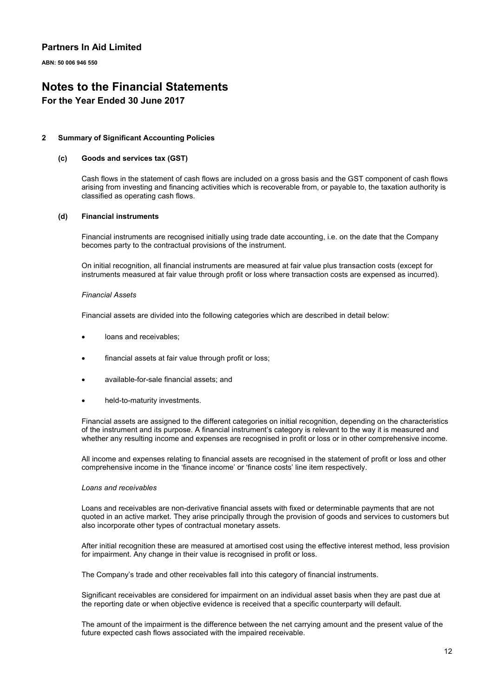ABN: 50 006 946 550

# Notes to the Financial Statements

### For the Year Ended 30 June 2017

#### 2 Summary of Significant Accounting Policies

#### (c) Goods and services tax (GST)

Cash flows in the statement of cash flows are included on a gross basis and the GST component of cash flows arising from investing and financing activities which is recoverable from, or payable to, the taxation authority is classified as operating cash flows.

#### (d) Financial instruments

Financial instruments are recognised initially using trade date accounting, i.e. on the date that the Company becomes party to the contractual provisions of the instrument.

On initial recognition, all financial instruments are measured at fair value plus transaction costs (except for instruments measured at fair value through profit or loss where transaction costs are expensed as incurred).

#### Financial Assets

Financial assets are divided into the following categories which are described in detail below:

- loans and receivables;
- financial assets at fair value through profit or loss;
- available-for-sale financial assets; and
- held-to-maturity investments.

Financial assets are assigned to the different categories on initial recognition, depending on the characteristics of the instrument and its purpose. A financial instrument's category is relevant to the way it is measured and whether any resulting income and expenses are recognised in profit or loss or in other comprehensive income.

All income and expenses relating to financial assets are recognised in the statement of profit or loss and other comprehensive income in the 'finance income' or 'finance costs' line item respectively.

#### Loans and receivables

Loans and receivables are non-derivative financial assets with fixed or determinable payments that are not quoted in an active market. They arise principally through the provision of goods and services to customers but also incorporate other types of contractual monetary assets.

After initial recognition these are measured at amortised cost using the effective interest method, less provision for impairment. Any change in their value is recognised in profit or loss.

The Company's trade and other receivables fall into this category of financial instruments.

Significant receivables are considered for impairment on an individual asset basis when they are past due at the reporting date or when objective evidence is received that a specific counterparty will default.

The amount of the impairment is the difference between the net carrying amount and the present value of the future expected cash flows associated with the impaired receivable.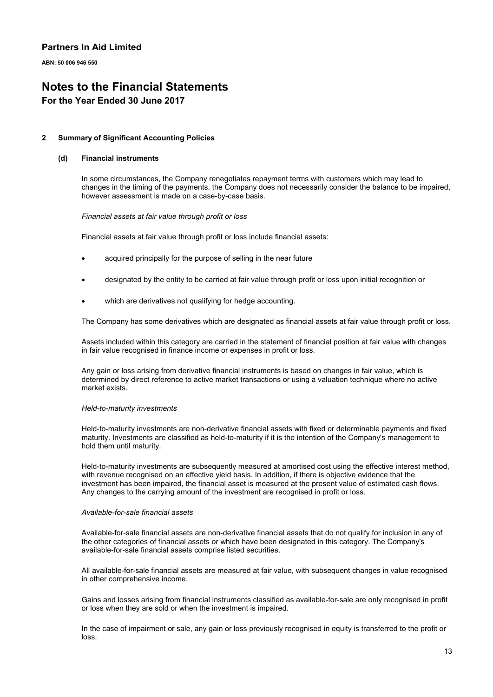ABN: 50 006 946 550

# Notes to the Financial Statements

### For the Year Ended 30 June 2017

#### 2 Summary of Significant Accounting Policies

#### (d) Financial instruments

In some circumstances, the Company renegotiates repayment terms with customers which may lead to changes in the timing of the payments, the Company does not necessarily consider the balance to be impaired, however assessment is made on a case-by-case basis.

#### Financial assets at fair value through profit or loss

Financial assets at fair value through profit or loss include financial assets:

- acquired principally for the purpose of selling in the near future
- designated by the entity to be carried at fair value through profit or loss upon initial recognition or
- which are derivatives not qualifying for hedge accounting.

The Company has some derivatives which are designated as financial assets at fair value through profit or loss.

Assets included within this category are carried in the statement of financial position at fair value with changes in fair value recognised in finance income or expenses in profit or loss.

Any gain or loss arising from derivative financial instruments is based on changes in fair value, which is determined by direct reference to active market transactions or using a valuation technique where no active market exists.

#### Held-to-maturity investments

Held-to-maturity investments are non-derivative financial assets with fixed or determinable payments and fixed maturity. Investments are classified as held-to-maturity if it is the intention of the Company's management to hold them until maturity.

Held-to-maturity investments are subsequently measured at amortised cost using the effective interest method, with revenue recognised on an effective yield basis. In addition, if there is objective evidence that the investment has been impaired, the financial asset is measured at the present value of estimated cash flows. Any changes to the carrying amount of the investment are recognised in profit or loss.

#### Available-for-sale financial assets

Available-for-sale financial assets are non-derivative financial assets that do not qualify for inclusion in any of the other categories of financial assets or which have been designated in this category. The Company's available-for-sale financial assets comprise listed securities.

All available-for-sale financial assets are measured at fair value, with subsequent changes in value recognised in other comprehensive income.

Gains and losses arising from financial instruments classified as available-for-sale are only recognised in profit or loss when they are sold or when the investment is impaired.

In the case of impairment or sale, any gain or loss previously recognised in equity is transferred to the profit or loss.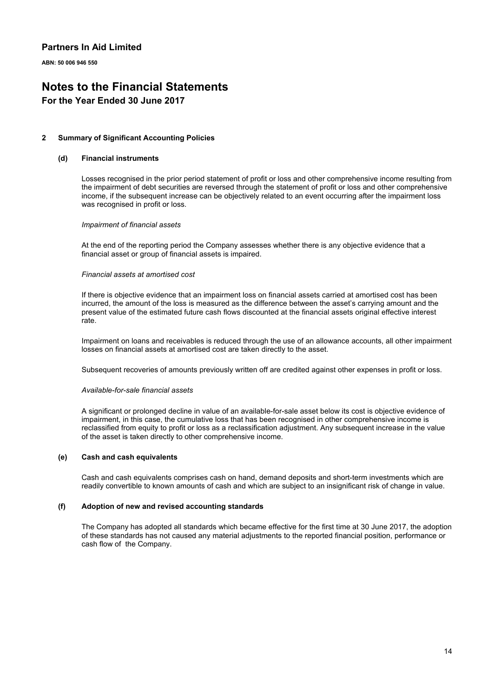ABN: 50 006 946 550

# Notes to the Financial Statements

### For the Year Ended 30 June 2017

#### 2 Summary of Significant Accounting Policies

#### (d) Financial instruments

Losses recognised in the prior period statement of profit or loss and other comprehensive income resulting from the impairment of debt securities are reversed through the statement of profit or loss and other comprehensive income, if the subsequent increase can be objectively related to an event occurring after the impairment loss was recognised in profit or loss.

#### Impairment of financial assets

At the end of the reporting period the Company assesses whether there is any objective evidence that a financial asset or group of financial assets is impaired.

#### Financial assets at amortised cost

If there is objective evidence that an impairment loss on financial assets carried at amortised cost has been incurred, the amount of the loss is measured as the difference between the asset's carrying amount and the present value of the estimated future cash flows discounted at the financial assets original effective interest rate.

Impairment on loans and receivables is reduced through the use of an allowance accounts, all other impairment losses on financial assets at amortised cost are taken directly to the asset.

Subsequent recoveries of amounts previously written off are credited against other expenses in profit or loss.

#### Available-for-sale financial assets

A significant or prolonged decline in value of an available-for-sale asset below its cost is objective evidence of impairment, in this case, the cumulative loss that has been recognised in other comprehensive income is reclassified from equity to profit or loss as a reclassification adjustment. Any subsequent increase in the value of the asset is taken directly to other comprehensive income.

#### (e) Cash and cash equivalents

Cash and cash equivalents comprises cash on hand, demand deposits and short-term investments which are readily convertible to known amounts of cash and which are subject to an insignificant risk of change in value.

#### (f) Adoption of new and revised accounting standards

The Company has adopted all standards which became effective for the first time at 30 June 2017, the adoption of these standards has not caused any material adjustments to the reported financial position, performance or cash flow of the Company.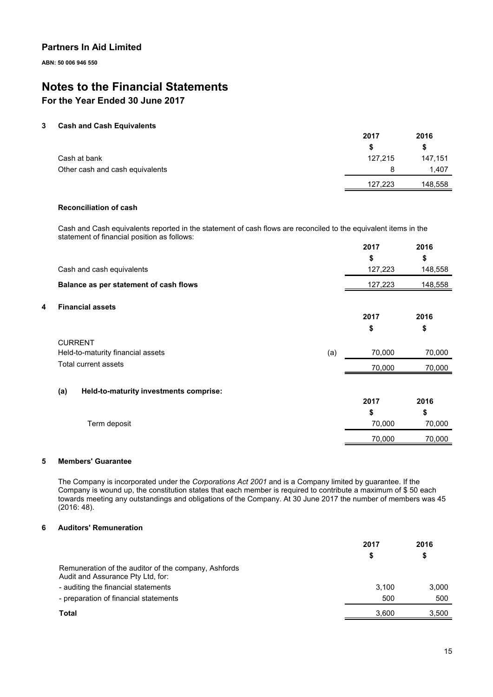ABN: 50 006 946 550

# Notes to the Financial Statements

# For the Year Ended 30 June 2017

#### 3 Cash and Cash Equivalents

|                                 | 2017    | 2016    |
|---------------------------------|---------|---------|
|                                 |         | S       |
| Cash at bank                    | 127,215 | 147,151 |
| Other cash and cash equivalents |         | 1.407   |
|                                 | 127,223 | 148,558 |

### Reconciliation of cash

Cash and Cash equivalents reported in the statement of cash flows are reconciled to the equivalent items in the statement of financial position as follows:  $2217$ 2016

|   |                                               | 2017    | 2016    |
|---|-----------------------------------------------|---------|---------|
|   |                                               | \$      | \$      |
|   | Cash and cash equivalents                     | 127,223 | 148,558 |
|   | Balance as per statement of cash flows        | 127,223 | 148,558 |
| 4 | <b>Financial assets</b>                       |         |         |
|   |                                               | 2017    | 2016    |
|   |                                               | \$      | \$      |
|   | <b>CURRENT</b>                                |         |         |
|   | Held-to-maturity financial assets<br>(a)      | 70,000  | 70,000  |
|   | Total current assets                          | 70,000  | 70,000  |
|   |                                               |         |         |
|   | (a)<br>Held-to-maturity investments comprise: | 2017    | 2016    |
|   |                                               |         |         |
|   |                                               | \$      | \$      |
|   | Term deposit                                  | 70,000  | 70,000  |
|   |                                               | 70,000  | 70,000  |

### 5 Members' Guarantee

The Company is incorporated under the Corporations Act 2001 and is a Company limited by guarantee. If the Company is wound up, the constitution states that each member is required to contribute a maximum of \$ 50 each towards meeting any outstandings and obligations of the Company. At 30 June 2017 the number of members was 45 (2016: 48).

#### 6 Auditors' Remuneration

|                                                                                           | 2017<br>S | 2016<br>\$ |
|-------------------------------------------------------------------------------------------|-----------|------------|
| Remuneration of the auditor of the company, Ashfords<br>Audit and Assurance Pty Ltd, for: |           |            |
| - auditing the financial statements                                                       | 3.100     | 3,000      |
| - preparation of financial statements                                                     | 500       | 500        |
| Total                                                                                     | 3.600     | 3,500      |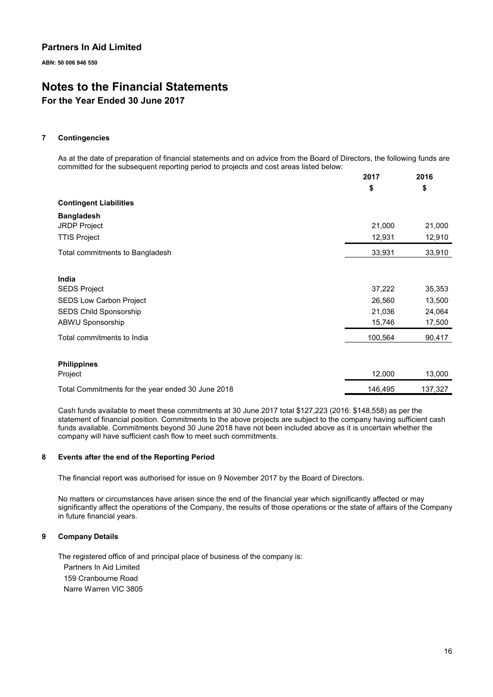ABN: 50 006 946 550

# Notes to the Financial Statements

### For the Year Ended 30 June 2017

#### 7 Contingencies

As at the date of preparation of financial statements and on advice from the Board of Directors, the following funds are committed for the subsequent reporting period to projects and cost areas listed below:

|                                                   | 2017    | 2016    |
|---------------------------------------------------|---------|---------|
|                                                   | \$      | \$      |
| <b>Contingent Liabilities</b>                     |         |         |
| <b>Bangladesh</b>                                 |         |         |
| <b>JRDP Project</b>                               | 21,000  | 21,000  |
| <b>TTIS Project</b>                               | 12,931  | 12,910  |
| Total commitments to Bangladesh                   | 33,931  | 33,910  |
| India                                             |         |         |
| <b>SEDS Project</b>                               | 37,222  | 35,353  |
| <b>SEDS Low Carbon Project</b>                    | 26,560  | 13,500  |
| SEDS Child Sponsorship                            | 21,036  | 24,064  |
| ABWU Sponsorship                                  | 15,746  | 17,500  |
| Total commitments to India                        | 100,564 | 90,417  |
| <b>Philippines</b>                                |         |         |
| Project                                           | 12,000  | 13,000  |
| Total Commitments for the year ended 30 June 2018 | 146,495 | 137,327 |

Cash funds available to meet these commitments at 30 June 2017 total \$127,223 (2016: \$148,558) as per the statement of financial position. Commitments to the above projects are subject to the company having sufficient cash funds available. Commitments beyond 30 June 2018 have not been included above as it is uncertain whether the company will have sufficient cash flow to meet such commitments.

#### 8 Events after the end of the Reporting Period

The financial report was authorised for issue on 9 November 2017 by the Board of Directors.

No matters or circumstances have arisen since the end of the financial year which significantly affected or may significantly affect the operations of the Company, the results of those operations or the state of affairs of the Company in future financial years.

#### 9 Company Details

The registered office of and principal place of business of the company is:

Partners In Aid Limited 159 Cranbourne Road Narre Warren VIC 3805